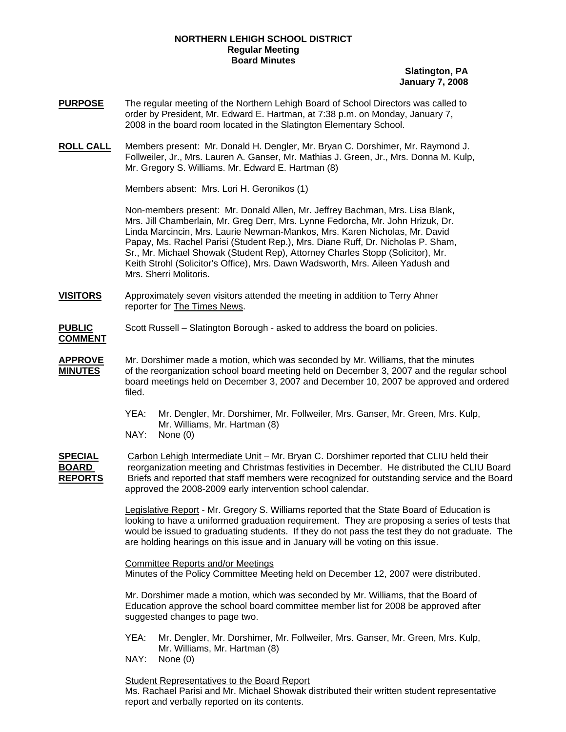## **NORTHERN LEHIGH SCHOOL DISTRICT Regular Meeting Board Minutes**

**Slatington, PA January 7, 2008**

- **PURPOSE** The regular meeting of the Northern Lehigh Board of School Directors was called to order by President, Mr. Edward E. Hartman, at 7:38 p.m. on Monday, January 7, 2008 in the board room located in the Slatington Elementary School.
- **ROLL CALL** Members present: Mr. Donald H. Dengler, Mr. Bryan C. Dorshimer, Mr. Raymond J. Follweiler, Jr., Mrs. Lauren A. Ganser, Mr. Mathias J. Green, Jr., Mrs. Donna M. Kulp, Mr. Gregory S. Williams. Mr. Edward E. Hartman (8)

Members absent: Mrs. Lori H. Geronikos (1)

Non-members present: Mr. Donald Allen, Mr. Jeffrey Bachman, Mrs. Lisa Blank, Mrs. Jill Chamberlain, Mr. Greg Derr, Mrs. Lynne Fedorcha, Mr. John Hrizuk, Dr. Linda Marcincin, Mrs. Laurie Newman-Mankos, Mrs. Karen Nicholas, Mr. David Papay, Ms. Rachel Parisi (Student Rep.), Mrs. Diane Ruff, Dr. Nicholas P. Sham, Sr., Mr. Michael Showak (Student Rep), Attorney Charles Stopp (Solicitor), Mr. Keith Strohl (Solicitor's Office), Mrs. Dawn Wadsworth, Mrs. Aileen Yadush and Mrs. Sherri Molitoris.

- **VISITORS** Approximately seven visitors attended the meeting in addition to Terry Ahner reporter for The Times News.
- **PUBLIC** Scott Russell Slatington Borough asked to address the board on policies. **COMMENT**
- **APPROVE** Mr. Dorshimer made a motion, which was seconded by Mr. Williams, that the minutes **MINUTES** of the reorganization school board meeting held on December 3, 2007 and the regular school board meetings held on December 3, 2007 and December 10, 2007 be approved and ordered filed.
	- YEA: Mr. Dengler, Mr. Dorshimer, Mr. Follweiler, Mrs. Ganser, Mr. Green, Mrs. Kulp, Mr. Williams, Mr. Hartman (8)
	- NAY: None (0)

**SPECIAL** Carbon Lehigh Intermediate Unit – Mr. Bryan C. Dorshimer reported that CLIU held their **BOARD** reorganization meeting and Christmas festivities in December. He distributed the CLIU Board **REPORTS** Briefs and reported that staff members were recognized for outstanding service and the Board approved the 2008-2009 early intervention school calendar.

> Legislative Report - Mr. Gregory S. Williams reported that the State Board of Education is looking to have a uniformed graduation requirement. They are proposing a series of tests that would be issued to graduating students. If they do not pass the test they do not graduate. The are holding hearings on this issue and in January will be voting on this issue.

Committee Reports and/or Meetings Minutes of the Policy Committee Meeting held on December 12, 2007 were distributed.

 Mr. Dorshimer made a motion, which was seconded by Mr. Williams, that the Board of Education approve the school board committee member list for 2008 be approved after suggested changes to page two.

- YEA: Mr. Dengler, Mr. Dorshimer, Mr. Follweiler, Mrs. Ganser, Mr. Green, Mrs. Kulp, Mr. Williams, Mr. Hartman (8)
- NAY: None (0)

Student Representatives to the Board Report

Ms. Rachael Parisi and Mr. Michael Showak distributed their written student representative report and verbally reported on its contents.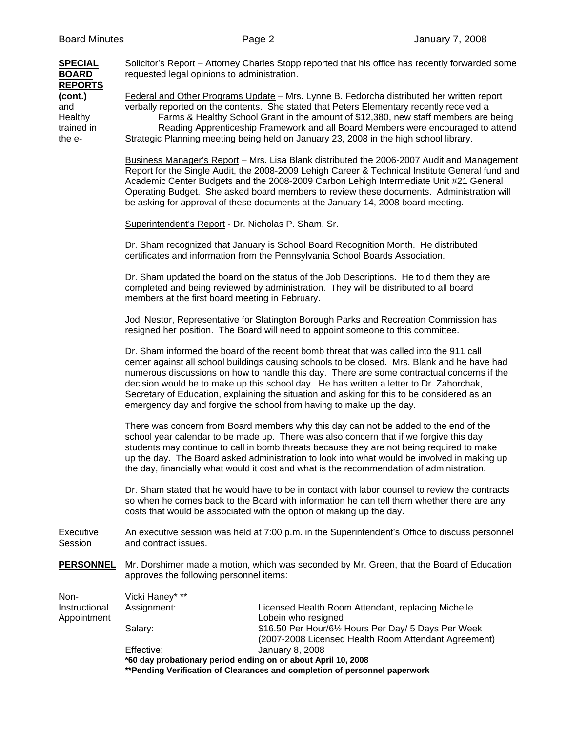| <b>SPECIAL</b><br><b>BOARD</b>                                      | requested legal opinions to administration.                                                                                                                                                                                                                                                                                                                                                                                                                             | Solicitor's Report – Attorney Charles Stopp reported that his office has recently forwarded some                                                                                                                                                                                                                                                                                                                                                                                                                                                        |  |
|---------------------------------------------------------------------|-------------------------------------------------------------------------------------------------------------------------------------------------------------------------------------------------------------------------------------------------------------------------------------------------------------------------------------------------------------------------------------------------------------------------------------------------------------------------|---------------------------------------------------------------------------------------------------------------------------------------------------------------------------------------------------------------------------------------------------------------------------------------------------------------------------------------------------------------------------------------------------------------------------------------------------------------------------------------------------------------------------------------------------------|--|
| <b>REPORTS</b><br>(cont.)<br>and<br>Healthy<br>trained in<br>the e- |                                                                                                                                                                                                                                                                                                                                                                                                                                                                         | Federal and Other Programs Update - Mrs. Lynne B. Fedorcha distributed her written report<br>verbally reported on the contents. She stated that Peters Elementary recently received a<br>Farms & Healthy School Grant in the amount of \$12,380, new staff members are being<br>Reading Apprenticeship Framework and all Board Members were encouraged to attend<br>Strategic Planning meeting being held on January 23, 2008 in the high school library.                                                                                               |  |
|                                                                     |                                                                                                                                                                                                                                                                                                                                                                                                                                                                         | Business Manager's Report - Mrs. Lisa Blank distributed the 2006-2007 Audit and Management<br>Report for the Single Audit, the 2008-2009 Lehigh Career & Technical Institute General fund and<br>Academic Center Budgets and the 2008-2009 Carbon Lehigh Intermediate Unit #21 General<br>Operating Budget. She asked board members to review these documents. Administration will<br>be asking for approval of these documents at the January 14, 2008 board meeting.                                                                                  |  |
|                                                                     | Superintendent's Report - Dr. Nicholas P. Sham, Sr.                                                                                                                                                                                                                                                                                                                                                                                                                     |                                                                                                                                                                                                                                                                                                                                                                                                                                                                                                                                                         |  |
|                                                                     |                                                                                                                                                                                                                                                                                                                                                                                                                                                                         | Dr. Sham recognized that January is School Board Recognition Month. He distributed<br>certificates and information from the Pennsylvania School Boards Association.                                                                                                                                                                                                                                                                                                                                                                                     |  |
|                                                                     | members at the first board meeting in February.                                                                                                                                                                                                                                                                                                                                                                                                                         | Dr. Sham updated the board on the status of the Job Descriptions. He told them they are<br>completed and being reviewed by administration. They will be distributed to all board                                                                                                                                                                                                                                                                                                                                                                        |  |
|                                                                     |                                                                                                                                                                                                                                                                                                                                                                                                                                                                         | Jodi Nestor, Representative for Slatington Borough Parks and Recreation Commission has<br>resigned her position. The Board will need to appoint someone to this committee.                                                                                                                                                                                                                                                                                                                                                                              |  |
|                                                                     |                                                                                                                                                                                                                                                                                                                                                                                                                                                                         | Dr. Sham informed the board of the recent bomb threat that was called into the 911 call<br>center against all school buildings causing schools to be closed. Mrs. Blank and he have had<br>numerous discussions on how to handle this day. There are some contractual concerns if the<br>decision would be to make up this school day. He has written a letter to Dr. Zahorchak,<br>Secretary of Education, explaining the situation and asking for this to be considered as an<br>emergency day and forgive the school from having to make up the day. |  |
|                                                                     | There was concern from Board members why this day can not be added to the end of the<br>school year calendar to be made up. There was also concern that if we forgive this day<br>students may continue to call in bomb threats because they are not being required to make<br>up the day. The Board asked administration to look into what would be involved in making up<br>the day, financially what would it cost and what is the recommendation of administration. |                                                                                                                                                                                                                                                                                                                                                                                                                                                                                                                                                         |  |
|                                                                     |                                                                                                                                                                                                                                                                                                                                                                                                                                                                         | Dr. Sham stated that he would have to be in contact with labor counsel to review the contracts<br>so when he comes back to the Board with information he can tell them whether there are any<br>costs that would be associated with the option of making up the day.                                                                                                                                                                                                                                                                                    |  |
| Executive<br>Session                                                | and contract issues.                                                                                                                                                                                                                                                                                                                                                                                                                                                    | An executive session was held at 7:00 p.m. in the Superintendent's Office to discuss personnel                                                                                                                                                                                                                                                                                                                                                                                                                                                          |  |
| <b>PERSONNEL</b>                                                    | approves the following personnel items:                                                                                                                                                                                                                                                                                                                                                                                                                                 | Mr. Dorshimer made a motion, which was seconded by Mr. Green, that the Board of Education                                                                                                                                                                                                                                                                                                                                                                                                                                                               |  |
| Non-                                                                | Vicki Haney* **                                                                                                                                                                                                                                                                                                                                                                                                                                                         |                                                                                                                                                                                                                                                                                                                                                                                                                                                                                                                                                         |  |
| Instructional<br>Appointment                                        | Assignment:                                                                                                                                                                                                                                                                                                                                                                                                                                                             | Licensed Health Room Attendant, replacing Michelle<br>Lobein who resigned                                                                                                                                                                                                                                                                                                                                                                                                                                                                               |  |
|                                                                     | Salary:                                                                                                                                                                                                                                                                                                                                                                                                                                                                 | \$16.50 Per Hour/61/2 Hours Per Day/ 5 Days Per Week<br>(2007-2008 Licensed Health Room Attendant Agreement)                                                                                                                                                                                                                                                                                                                                                                                                                                            |  |
|                                                                     | Effective:<br>*60 day probationary period ending on or about April 10, 2008                                                                                                                                                                                                                                                                                                                                                                                             | January 8, 2008                                                                                                                                                                                                                                                                                                                                                                                                                                                                                                                                         |  |

**\*\*Pending Verification of Clearances and completion of personnel paperwork**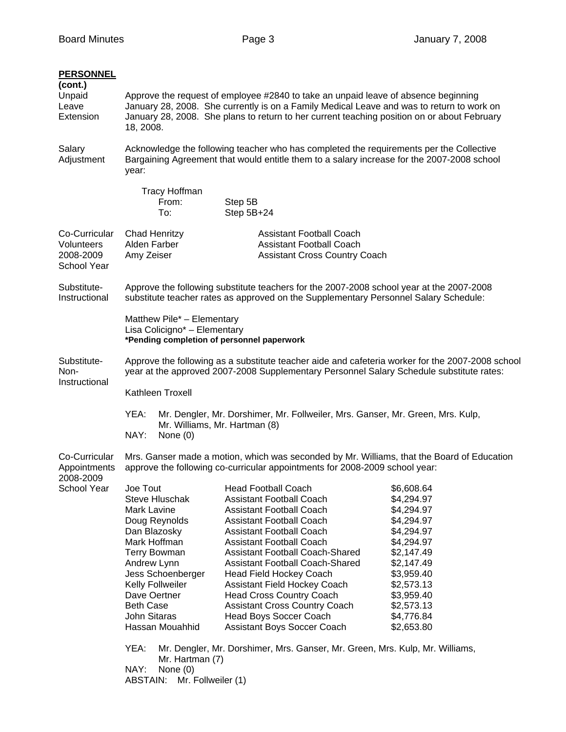| <b>PERSONNEL</b><br>(cont.)<br>Unpaid<br>Leave<br>Extension | Approve the request of employee #2840 to take an unpaid leave of absence beginning<br>January 28, 2008. She currently is on a Family Medical Leave and was to return to work on<br>January 28, 2008. She plans to return to her current teaching position on or about February<br>18, 2008. |                                                                                                                                                                                                                                                                                                                                                                                                                                                                                                                                                                                            |                                                                                                                                                                                                  |
|-------------------------------------------------------------|---------------------------------------------------------------------------------------------------------------------------------------------------------------------------------------------------------------------------------------------------------------------------------------------|--------------------------------------------------------------------------------------------------------------------------------------------------------------------------------------------------------------------------------------------------------------------------------------------------------------------------------------------------------------------------------------------------------------------------------------------------------------------------------------------------------------------------------------------------------------------------------------------|--------------------------------------------------------------------------------------------------------------------------------------------------------------------------------------------------|
| Salary<br>Adjustment                                        | Acknowledge the following teacher who has completed the requirements per the Collective<br>Bargaining Agreement that would entitle them to a salary increase for the 2007-2008 school<br>year:                                                                                              |                                                                                                                                                                                                                                                                                                                                                                                                                                                                                                                                                                                            |                                                                                                                                                                                                  |
|                                                             | <b>Tracy Hoffman</b><br>From:<br>To:                                                                                                                                                                                                                                                        | Step 5B<br>Step 5B+24                                                                                                                                                                                                                                                                                                                                                                                                                                                                                                                                                                      |                                                                                                                                                                                                  |
| Co-Curricular<br>Volunteers<br>2008-2009<br>School Year     | Chad Henritzy<br>Alden Farber<br>Amy Zeiser                                                                                                                                                                                                                                                 | <b>Assistant Football Coach</b><br><b>Assistant Football Coach</b><br><b>Assistant Cross Country Coach</b>                                                                                                                                                                                                                                                                                                                                                                                                                                                                                 |                                                                                                                                                                                                  |
| Substitute-<br>Instructional                                |                                                                                                                                                                                                                                                                                             | Approve the following substitute teachers for the 2007-2008 school year at the 2007-2008<br>substitute teacher rates as approved on the Supplementary Personnel Salary Schedule:                                                                                                                                                                                                                                                                                                                                                                                                           |                                                                                                                                                                                                  |
|                                                             | Matthew Pile* - Elementary<br>Lisa Colicigno* - Elementary<br>*Pending completion of personnel paperwork                                                                                                                                                                                    |                                                                                                                                                                                                                                                                                                                                                                                                                                                                                                                                                                                            |                                                                                                                                                                                                  |
| Substitute-<br>Non-<br>Instructional                        |                                                                                                                                                                                                                                                                                             | Approve the following as a substitute teacher aide and cafeteria worker for the 2007-2008 school<br>year at the approved 2007-2008 Supplementary Personnel Salary Schedule substitute rates:                                                                                                                                                                                                                                                                                                                                                                                               |                                                                                                                                                                                                  |
|                                                             | Kathleen Troxell                                                                                                                                                                                                                                                                            |                                                                                                                                                                                                                                                                                                                                                                                                                                                                                                                                                                                            |                                                                                                                                                                                                  |
|                                                             | YEA:<br>Mr. Williams, Mr. Hartman (8)<br>NAY:<br>None (0)                                                                                                                                                                                                                                   | Mr. Dengler, Mr. Dorshimer, Mr. Follweiler, Mrs. Ganser, Mr. Green, Mrs. Kulp,                                                                                                                                                                                                                                                                                                                                                                                                                                                                                                             |                                                                                                                                                                                                  |
| Co-Curricular<br>Appointments<br>2008-2009                  |                                                                                                                                                                                                                                                                                             | Mrs. Ganser made a motion, which was seconded by Mr. Williams, that the Board of Education<br>approve the following co-curricular appointments for 2008-2009 school year:                                                                                                                                                                                                                                                                                                                                                                                                                  |                                                                                                                                                                                                  |
| <b>School Year</b>                                          | Joe Tout<br>Steve Hluschak<br><b>Mark Lavine</b><br>Doug Reynolds<br>Dan Blazosky<br>Mark Hoffman<br><b>Terry Bowman</b><br>Andrew Lynn<br>Jess Schoenberger<br>Kelly Follweiler<br>Dave Oertner<br><b>Beth Case</b><br><b>John Sitaras</b><br>Hassan Mouahhid<br>YEA:                      | <b>Head Football Coach</b><br><b>Assistant Football Coach</b><br><b>Assistant Football Coach</b><br><b>Assistant Football Coach</b><br><b>Assistant Football Coach</b><br><b>Assistant Football Coach</b><br><b>Assistant Football Coach-Shared</b><br><b>Assistant Football Coach-Shared</b><br><b>Head Field Hockey Coach</b><br><b>Assistant Field Hockey Coach</b><br><b>Head Cross Country Coach</b><br><b>Assistant Cross Country Coach</b><br>Head Boys Soccer Coach<br>Assistant Boys Soccer Coach<br>Mr. Dengler, Mr. Dorshimer, Mrs. Ganser, Mr. Green, Mrs. Kulp, Mr. Williams, | \$6,608.64<br>\$4,294.97<br>\$4,294.97<br>\$4,294.97<br>\$4,294.97<br>\$4,294.97<br>\$2,147.49<br>\$2,147.49<br>\$3,959.40<br>\$2,573.13<br>\$3,959.40<br>\$2,573.13<br>\$4,776.84<br>\$2,653.80 |
|                                                             | Mr. Hartman (7)<br>NAY:<br>None $(0)$<br>ABSTAIN: Mr. Follweiler (1)                                                                                                                                                                                                                        |                                                                                                                                                                                                                                                                                                                                                                                                                                                                                                                                                                                            |                                                                                                                                                                                                  |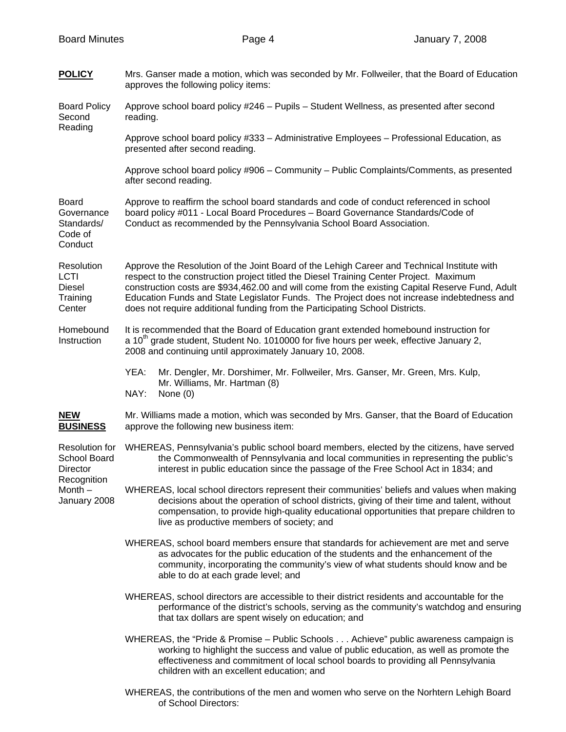| <u>POLICY</u>                                                                               | Mrs. Ganser made a motion, which was seconded by Mr. Follweiler, that the Board of Education<br>approves the following policy items:                                                                                                                                                                                                                                                                                                                                   |  |  |
|---------------------------------------------------------------------------------------------|------------------------------------------------------------------------------------------------------------------------------------------------------------------------------------------------------------------------------------------------------------------------------------------------------------------------------------------------------------------------------------------------------------------------------------------------------------------------|--|--|
| <b>Board Policy</b><br>Second<br>Reading                                                    | Approve school board policy #246 - Pupils - Student Wellness, as presented after second<br>reading.                                                                                                                                                                                                                                                                                                                                                                    |  |  |
|                                                                                             | Approve school board policy #333 - Administrative Employees - Professional Education, as<br>presented after second reading.                                                                                                                                                                                                                                                                                                                                            |  |  |
|                                                                                             | Approve school board policy #906 - Community - Public Complaints/Comments, as presented<br>after second reading.                                                                                                                                                                                                                                                                                                                                                       |  |  |
| <b>Board</b><br>Governance<br>Standards/<br>Code of<br>Conduct                              | Approve to reaffirm the school board standards and code of conduct referenced in school<br>board policy #011 - Local Board Procedures - Board Governance Standards/Code of<br>Conduct as recommended by the Pennsylvania School Board Association.                                                                                                                                                                                                                     |  |  |
| Resolution<br>LCTI<br>Diesel<br>Training<br>Center                                          | Approve the Resolution of the Joint Board of the Lehigh Career and Technical Institute with<br>respect to the construction project titled the Diesel Training Center Project. Maximum<br>construction costs are \$934,462.00 and will come from the existing Capital Reserve Fund, Adult<br>Education Funds and State Legislator Funds. The Project does not increase indebtedness and<br>does not require additional funding from the Participating School Districts. |  |  |
| Homebound<br>Instruction                                                                    | It is recommended that the Board of Education grant extended homebound instruction for<br>a 10 <sup>th</sup> grade student, Student No. 1010000 for five hours per week, effective January 2,<br>2008 and continuing until approximately January 10, 2008.                                                                                                                                                                                                             |  |  |
|                                                                                             | YEA:<br>Mr. Dengler, Mr. Dorshimer, Mr. Follweiler, Mrs. Ganser, Mr. Green, Mrs. Kulp,<br>Mr. Williams, Mr. Hartman (8)<br>NAY:<br>None $(0)$                                                                                                                                                                                                                                                                                                                          |  |  |
| <b>NEW</b><br><b>BUSINESS</b>                                                               | Mr. Williams made a motion, which was seconded by Mrs. Ganser, that the Board of Education<br>approve the following new business item:                                                                                                                                                                                                                                                                                                                                 |  |  |
| <b>Resolution for</b><br>School Board<br>Director<br>Recognition<br>Month -<br>January 2008 | WHEREAS, Pennsylvania's public school board members, elected by the citizens, have served<br>the Commonwealth of Pennsylvania and local communities in representing the public's<br>interest in public education since the passage of the Free School Act in 1834; and                                                                                                                                                                                                 |  |  |
|                                                                                             | WHEREAS, local school directors represent their communities' beliefs and values when making<br>decisions about the operation of school districts, giving of their time and talent, without<br>compensation, to provide high-quality educational opportunities that prepare children to<br>live as productive members of society; and                                                                                                                                   |  |  |
|                                                                                             | WHEREAS, school board members ensure that standards for achievement are met and serve<br>as advocates for the public education of the students and the enhancement of the<br>community, incorporating the community's view of what students should know and be<br>able to do at each grade level; and                                                                                                                                                                  |  |  |
|                                                                                             | WHEREAS, school directors are accessible to their district residents and accountable for the<br>performance of the district's schools, serving as the community's watchdog and ensuring<br>that tax dollars are spent wisely on education; and                                                                                                                                                                                                                         |  |  |
|                                                                                             | WHEREAS, the "Pride & Promise - Public Schools Achieve" public awareness campaign is<br>working to highlight the success and value of public education, as well as promote the<br>effectiveness and commitment of local school boards to providing all Pennsylvania<br>children with an excellent education; and                                                                                                                                                       |  |  |
|                                                                                             | WHEREAS, the contributions of the men and women who serve on the Norhtern Lehigh Board<br>of School Directors:                                                                                                                                                                                                                                                                                                                                                         |  |  |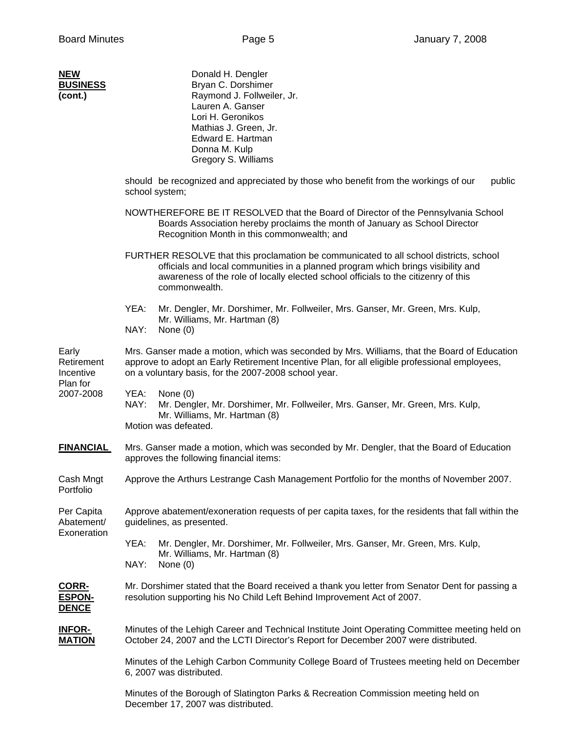| NEW             |  |
|-----------------|--|
| <b>BUSINESS</b> |  |
| (cont.)         |  |

| <b>NEW</b><br><b>BUSINESS</b><br>(cont.)                  | Donald H. Dengler<br>Bryan C. Dorshimer<br>Raymond J. Follweiler, Jr.<br>Lauren A. Ganser<br>Lori H. Geronikos<br>Mathias J. Green, Jr.<br>Edward E. Hartman<br>Donna M. Kulp<br>Gregory S. Williams                                                                              |  |  |
|-----------------------------------------------------------|-----------------------------------------------------------------------------------------------------------------------------------------------------------------------------------------------------------------------------------------------------------------------------------|--|--|
|                                                           | should be recognized and appreciated by those who benefit from the workings of our<br>public<br>school system;                                                                                                                                                                    |  |  |
|                                                           | NOWTHEREFORE BE IT RESOLVED that the Board of Director of the Pennsylvania School<br>Boards Association hereby proclaims the month of January as School Director<br>Recognition Month in this commonwealth; and                                                                   |  |  |
|                                                           | FURTHER RESOLVE that this proclamation be communicated to all school districts, school<br>officials and local communities in a planned program which brings visibility and<br>awareness of the role of locally elected school officials to the citizenry of this<br>commonwealth. |  |  |
|                                                           | YEA:<br>Mr. Dengler, Mr. Dorshimer, Mr. Follweiler, Mrs. Ganser, Mr. Green, Mrs. Kulp,<br>Mr. Williams, Mr. Hartman (8)<br>NAY:<br>None (0)                                                                                                                                       |  |  |
| Early<br>Retirement<br>Incentive<br>Plan for<br>2007-2008 | Mrs. Ganser made a motion, which was seconded by Mrs. Williams, that the Board of Education<br>approve to adopt an Early Retirement Incentive Plan, for all eligible professional employees,<br>on a voluntary basis, for the 2007-2008 school year.                              |  |  |
|                                                           | YEA:<br>None $(0)$<br>NAY:<br>Mr. Dengler, Mr. Dorshimer, Mr. Follweiler, Mrs. Ganser, Mr. Green, Mrs. Kulp,<br>Mr. Williams, Mr. Hartman (8)<br>Motion was defeated.                                                                                                             |  |  |
| <b>FINANCIAL</b>                                          | Mrs. Ganser made a motion, which was seconded by Mr. Dengler, that the Board of Education<br>approves the following financial items:                                                                                                                                              |  |  |
| Cash Mngt<br>Portfolio                                    | Approve the Arthurs Lestrange Cash Management Portfolio for the months of November 2007.                                                                                                                                                                                          |  |  |
| Per Capita<br>Abatement/<br>Exoneration                   | Approve abatement/exoneration requests of per capita taxes, for the residents that fall within the<br>guidelines, as presented.                                                                                                                                                   |  |  |
|                                                           | YEA:<br>Mr. Dengler, Mr. Dorshimer, Mr. Follweiler, Mrs. Ganser, Mr. Green, Mrs. Kulp,<br>Mr. Williams, Mr. Hartman (8)<br>NAY:<br>None (0)                                                                                                                                       |  |  |
| <b>CORR-</b><br><b>ESPON-</b><br><b>DENCE</b>             | Mr. Dorshimer stated that the Board received a thank you letter from Senator Dent for passing a<br>resolution supporting his No Child Left Behind Improvement Act of 2007.                                                                                                        |  |  |
| <b>INFOR-</b><br><b>MATION</b>                            | Minutes of the Lehigh Career and Technical Institute Joint Operating Committee meeting held on<br>October 24, 2007 and the LCTI Director's Report for December 2007 were distributed.                                                                                             |  |  |
|                                                           | Minutes of the Lehigh Carbon Community College Board of Trustees meeting held on December<br>6, 2007 was distributed.                                                                                                                                                             |  |  |
|                                                           | Minutes of the Borough of Slatington Parks & Recreation Commission meeting held on<br>December 17, 2007 was distributed.                                                                                                                                                          |  |  |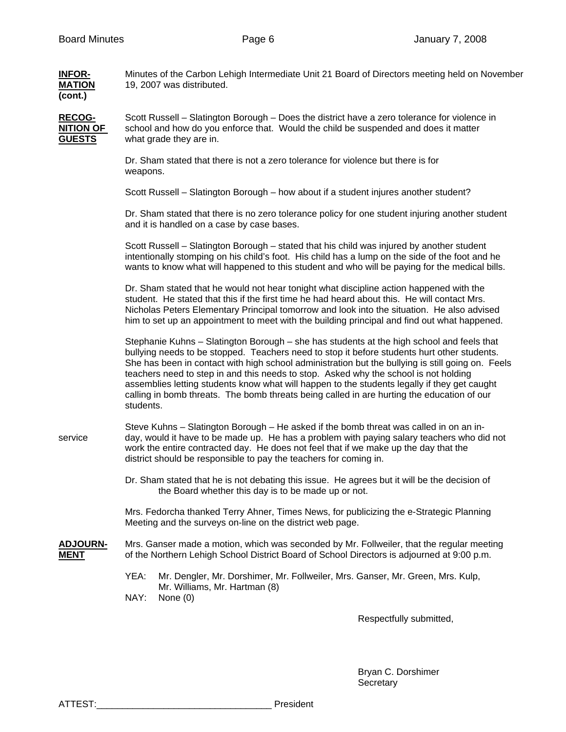| <b>INFOR-</b><br><b>MATION</b><br>(cont.)          | Minutes of the Carbon Lehigh Intermediate Unit 21 Board of Directors meeting held on November<br>19, 2007 was distributed.                                                                                                                                                                                                                                                                                                                                                                                                                                                                       |
|----------------------------------------------------|--------------------------------------------------------------------------------------------------------------------------------------------------------------------------------------------------------------------------------------------------------------------------------------------------------------------------------------------------------------------------------------------------------------------------------------------------------------------------------------------------------------------------------------------------------------------------------------------------|
| <b>RECOG-</b><br><b>NITION OF</b><br><b>GUESTS</b> | Scott Russell – Slatington Borough – Does the district have a zero tolerance for violence in<br>school and how do you enforce that. Would the child be suspended and does it matter<br>what grade they are in.                                                                                                                                                                                                                                                                                                                                                                                   |
|                                                    | Dr. Sham stated that there is not a zero tolerance for violence but there is for<br>weapons.                                                                                                                                                                                                                                                                                                                                                                                                                                                                                                     |
|                                                    | Scott Russell - Slatington Borough - how about if a student injures another student?                                                                                                                                                                                                                                                                                                                                                                                                                                                                                                             |
|                                                    | Dr. Sham stated that there is no zero tolerance policy for one student injuring another student<br>and it is handled on a case by case bases.                                                                                                                                                                                                                                                                                                                                                                                                                                                    |
|                                                    | Scott Russell - Slatington Borough - stated that his child was injured by another student<br>intentionally stomping on his child's foot. His child has a lump on the side of the foot and he<br>wants to know what will happened to this student and who will be paying for the medical bills.                                                                                                                                                                                                                                                                                                   |
|                                                    | Dr. Sham stated that he would not hear tonight what discipline action happened with the<br>student. He stated that this if the first time he had heard about this. He will contact Mrs.<br>Nicholas Peters Elementary Principal tomorrow and look into the situation. He also advised<br>him to set up an appointment to meet with the building principal and find out what happened.                                                                                                                                                                                                            |
|                                                    | Stephanie Kuhns - Slatington Borough - she has students at the high school and feels that<br>bullying needs to be stopped. Teachers need to stop it before students hurt other students.<br>She has been in contact with high school administration but the bullying is still going on. Feels<br>teachers need to step in and this needs to stop. Asked why the school is not holding<br>assemblies letting students know what will happen to the students legally if they get caught<br>calling in bomb threats. The bomb threats being called in are hurting the education of our<br>students. |
| service                                            | Steve Kuhns - Slatington Borough - He asked if the bomb threat was called in on an in-<br>day, would it have to be made up. He has a problem with paying salary teachers who did not<br>work the entire contracted day. He does not feel that if we make up the day that the<br>district should be responsible to pay the teachers for coming in.                                                                                                                                                                                                                                                |
|                                                    | Dr. Sham stated that he is not debating this issue. He agrees but it will be the decision of<br>the Board whether this day is to be made up or not.                                                                                                                                                                                                                                                                                                                                                                                                                                              |
|                                                    | Mrs. Fedorcha thanked Terry Ahner, Times News, for publicizing the e-Strategic Planning<br>Meeting and the surveys on-line on the district web page.                                                                                                                                                                                                                                                                                                                                                                                                                                             |
| <b>ADJOURN-</b><br><b>MENT</b>                     | Mrs. Ganser made a motion, which was seconded by Mr. Follweiler, that the regular meeting<br>of the Northern Lehigh School District Board of School Directors is adjourned at 9:00 p.m.                                                                                                                                                                                                                                                                                                                                                                                                          |
|                                                    | YEA:<br>Mr. Dengler, Mr. Dorshimer, Mr. Follweiler, Mrs. Ganser, Mr. Green, Mrs. Kulp,<br>Mr. Williams, Mr. Hartman (8)<br>NAY:<br>None (0)                                                                                                                                                                                                                                                                                                                                                                                                                                                      |
|                                                    | Respectfully submitted,                                                                                                                                                                                                                                                                                                                                                                                                                                                                                                                                                                          |

 Bryan C. Dorshimer Secretary and the contract of the contract of the Secretary Secretary